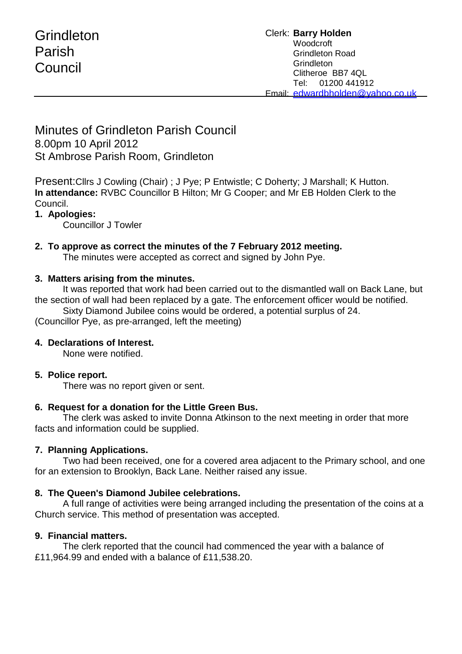# **Grindleton** Parish Council

# Minutes of Grindleton Parish Council 8.00pm 10 April 2012 St Ambrose Parish Room, Grindleton

Present:Cllrs J Cowling (Chair) ; J Pye; P Entwistle; C Doherty; J Marshall; K Hutton. **In attendance:** RVBC Councillor B Hilton; Mr G Cooper; and Mr EB Holden Clerk to the Council.

## **1. Apologies:**

Councillor J Towler

#### **2. To approve as correct the minutes of the 7 February 2012 meeting.**

The minutes were accepted as correct and signed by John Pye.

#### **3. Matters arising from the minutes.**

It was reported that work had been carried out to the dismantled wall on Back Lane, but the section of wall had been replaced by a gate. The enforcement officer would be notified.

Sixty Diamond Jubilee coins would be ordered, a potential surplus of 24.

(Councillor Pye, as pre-arranged, left the meeting)

#### **4. Declarations of Interest.**

None were notified.

#### **5. Police report.**

There was no report given or sent.

#### **6. Request for a donation for the Little Green Bus.**

The clerk was asked to invite Donna Atkinson to the next meeting in order that more facts and information could be supplied.

#### **7. Planning Applications.**

Two had been received, one for a covered area adjacent to the Primary school, and one for an extension to Brooklyn, Back Lane. Neither raised any issue.

#### **8. The Queen's Diamond Jubilee celebrations.**

A full range of activities were being arranged including the presentation of the coins at a Church service. This method of presentation was accepted.

#### **9. Financial matters.**

The clerk reported that the council had commenced the year with a balance of £11,964.99 and ended with a balance of £11,538.20.